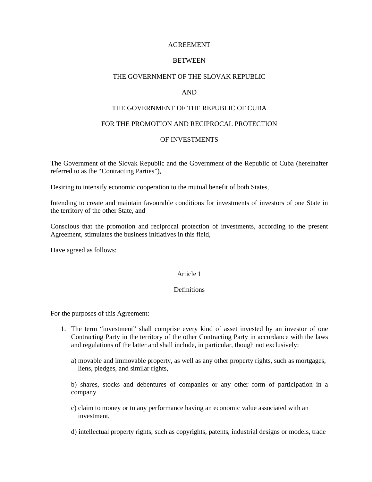## AGREEMENT

# **BETWEEN**

## THE GOVERNMENT OF THE SLOVAK REPUBLIC

# AND

### THE GOVERNMENT OF THE REPUBLIC OF CUBA

#### FOR THE PROMOTION AND RECIPROCAL PROTECTION

#### OF INVESTMENTS

The Government of the Slovak Republic and the Government of the Republic of Cuba (hereinafter referred to as the "Contracting Parties"),

Desiring to intensify economic cooperation to the mutual benefit of both States,

Intending to create and maintain favourable conditions for investments of investors of one State in the territory of the other State, and

Conscious that the promotion and reciprocal protection of investments, according to the present Agreement, stimulates the business initiatives in this field,

Have agreed as follows:

### Article 1

#### **Definitions**

For the purposes of this Agreement:

- 1. The term "investment" shall comprise every kind of asset invested by an investor of one Contracting Party in the territory of the other Contracting Party in accordance with the laws and regulations of the latter and shall include, in particular, though not exclusively:
	- a) movable and immovable property, as well as any other property rights, such as mortgages, liens, pledges, and similar rights,

b) shares, stocks and debentures of companies or any other form of participation in a company

c) claim to money or to any performance having an economic value associated with an investment,

d) intellectual property rights, such as copyrights, patents, industrial designs or models, trade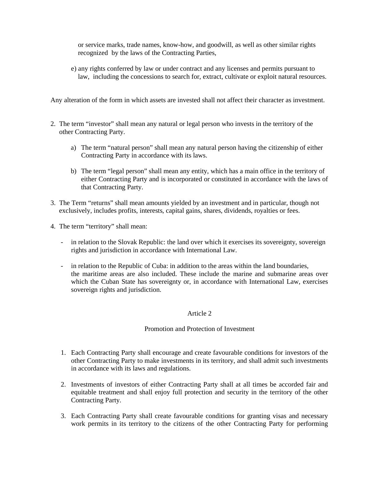or service marks, trade names, know-how, and goodwill, as well as other similar rights recognized by the laws of the Contracting Parties,

e) any rights conferred by law or under contract and any licenses and permits pursuant to law, including the concessions to search for, extract, cultivate or exploit natural resources.

Any alteration of the form in which assets are invested shall not affect their character as investment.

- 2. The term "investor" shall mean any natural or legal person who invests in the territory of the other Contracting Party.
	- a) The term "natural person" shall mean any natural person having the citizenship of either Contracting Party in accordance with its laws.
	- b) The term "legal person" shall mean any entity, which has a main office in the territory of either Contracting Party and is incorporated or constituted in accordance with the laws of that Contracting Party.
- 3. The Term "returns" shall mean amounts yielded by an investment and in particular, though not exclusively, includes profits, interests, capital gains, shares, dividends, royalties or fees.
- 4. The term "territory" shall mean:
	- in relation to the Slovak Republic: the land over which it exercises its sovereignty, sovereign rights and jurisdiction in accordance with International Law.
	- in relation to the Republic of Cuba: in addition to the areas within the land boundaries, the maritime areas are also included. These include the marine and submarine areas over which the Cuban State has sovereignty or, in accordance with International Law, exercises sovereign rights and jurisdiction.

### Article 2

### Promotion and Protection of Investment

- 1. Each Contracting Party shall encourage and create favourable conditions for investors of the other Contracting Party to make investments in its territory, and shall admit such investments in accordance with its laws and regulations.
- 2. Investments of investors of either Contracting Party shall at all times be accorded fair and equitable treatment and shall enjoy full protection and security in the territory of the other Contracting Party.
- 3. Each Contracting Party shall create favourable conditions for granting visas and necessary work permits in its territory to the citizens of the other Contracting Party for performing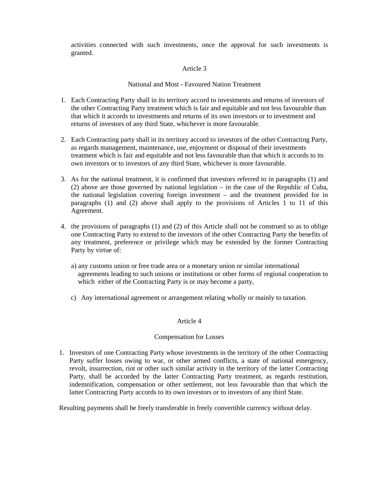activities connected with such investments, once the approval for such investments is granted.

## Article 3

# National and Most - Favoured Nation Treatment

- 1. Each Contracting Party shall in its territory accord to investments and returns of investors of the other Contracting Party treatment which is fair and equitable and not less favourable than that which it accords to investments and returns of its own investors or to investment and returns of investors of any third State, whichever is more favourable.
- 2. Each Contracting party shall in its territory accord to investors of the other Contracting Party, as regards management, maintenance, use, enjoyment or disposal of their investments treatment which is fair and equitable and not less favourable than that which it accords to its own investors or to investors of any third State, whichever is more favourable.
- 3. As for the national treatment, it is confirmed that investors referred to in paragraphs (1) and (2) above are those governed by national legislation – in the case of the Republic of Cuba, the national legislation covering foreign investment – and the treatment provided for in paragraphs (1) and (2) above shall apply to the provisions of Articles 1 to 11 of this Agreement.
- 4. the provisions of paragraphs (1) and (2) of this Article shall not be construed so as to oblige one Contracting Party to extend to the investors of the other Contracting Party the benefits of any treatment, preference or privilege which may be extended by the former Contracting Party by virtue of:
	- a) any customs union or free trade area or a monetary union or similar international agreements leading to such unions or institutions or other forms of regional cooperation to which either of the Contracting Party is or may become a party,
	- c) Any international agreement or arrangement relating wholly or mainly to taxation.

## Article 4

### Compensation for Losses

1. Investors of one Contracting Party whose investments in the territory of the other Contracting Party suffer losses owing to war, or other armed conflicts, a state of national emergency, revolt, insurrection, riot or other such similar activity in the territory of the latter Contracting Party, shall be accorded by the latter Contracting Party treatment, as regards restitution, indemnification, compensation or other settlement, not less favourable than that which the latter Contracting Party accords to its own investors or to investors of any third State.

Resulting payments shall be freely transferable in freely convertible currency without delay.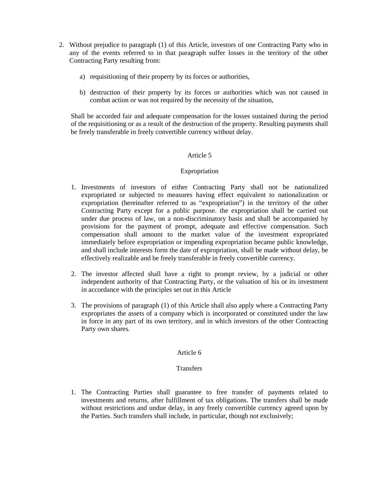- 2. Without prejudice to paragraph (1) of this Article, investors of one Contracting Party who in any of the events referred to in that paragraph suffer losses in the territory of the other Contracting Party resulting from:
	- a) requisitioning of their property by its forces or authorities,
	- b) destruction of their property by its forces or authorities which was not caused in combat action or was not required by the necessity of the situation,

Shall be accorded fair and adequate compensation for the losses sustained during the period of the requisitioning or as a result of the destruction of the property. Resulting payments shall be freely transferable in freely convertible currency without delay.

### Article 5

### Expropriation

- 1. Investments of investors of either Contracting Party shall not be nationalized expropriated or subjected to measures having effect equivalent to nationalization or expropriation (hereinafter referred to as "expropriation") in the territory of the other Contracting Party except for a public purpose. the expropriation shall be carried out under due process of law, on a non-discriminatory basis and shall be accompanied by provisions for the payment of prompt, adequate and effective compensation. Such compensation shall amount to the market value of the investment expropriated immediately before expropriation or impending expropriation became public knowledge, and shall include interests form the date of expropriation, shall be made without delay, be effectively realizable and be freely transferable in freely convertible currency.
- 2. The investor affected shall have a right to prompt review, by a judicial or other independent authority of that Contracting Party, or the valuation of his or its investment in accordance with the principles set out in this Article
- 3. The provisions of paragraph (1) of this Article shall also apply where a Contracting Party expropriates the assets of a company which is incorporated or constituted under the law in force in any part of its own territory, and in which investors of the other Contracting Party own shares.

## Article 6

### **Transfers**

1. The Contracting Parties shall guarantee to free transfer of payments related to investments and returns, after fulfillment of tax obligations. The transfers shall be made without restrictions and undue delay, in any freely convertible currency agreed upon by the Parties. Such transfers shall include, in particular, though not exclusively;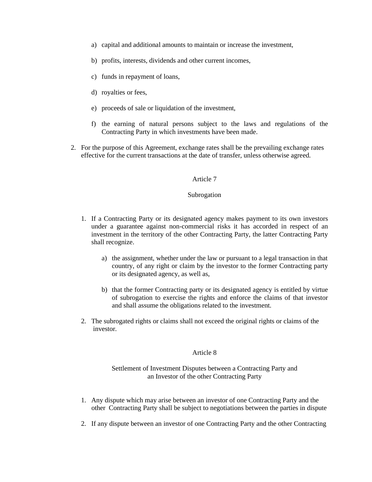- a) capital and additional amounts to maintain or increase the investment,
- b) profits, interests, dividends and other current incomes,
- c) funds in repayment of loans,
- d) royalties or fees,
- e) proceeds of sale or liquidation of the investment,
- f) the earning of natural persons subject to the laws and regulations of the Contracting Party in which investments have been made.
- 2. For the purpose of this Agreement, exchange rates shall be the prevailing exchange rates effective for the current transactions at the date of transfer, unless otherwise agreed.

#### Article 7

#### Subrogation

- 1. If a Contracting Party or its designated agency makes payment to its own investors under a guarantee against non-commercial risks it has accorded in respect of an investment in the territory of the other Contracting Party, the latter Contracting Party shall recognize.
	- a) the assignment, whether under the law or pursuant to a legal transaction in that country, of any right or claim by the investor to the former Contracting party or its designated agency, as well as,
	- b) that the former Contracting party or its designated agency is entitled by virtue of subrogation to exercise the rights and enforce the claims of that investor and shall assume the obligations related to the investment.
- 2. The subrogated rights or claims shall not exceed the original rights or claims of the investor.

#### Article 8

# Settlement of Investment Disputes between a Contracting Party and an Investor of the other Contracting Party

- 1. Any dispute which may arise between an investor of one Contracting Party and the other Contracting Party shall be subject to negotiations between the parties in dispute
- 2. If any dispute between an investor of one Contracting Party and the other Contracting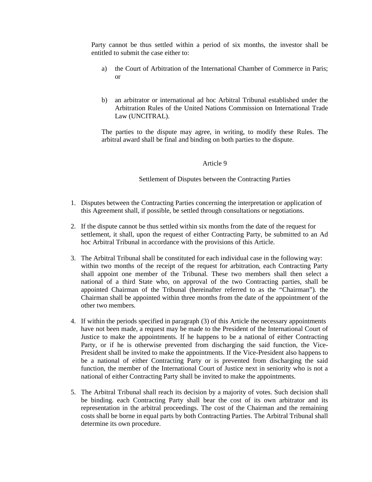Party cannot be thus settled within a period of six months, the investor shall be entitled to submit the case either to:

- a) the Court of Arbitration of the International Chamber of Commerce in Paris; or
- b) an arbitrator or international ad hoc Arbitral Tribunal established under the Arbitration Rules of the United Nations Commission on International Trade Law (UNCITRAL).

The parties to the dispute may agree, in writing, to modify these Rules. The arbitral award shall be final and binding on both parties to the dispute.

#### Article 9

Settlement of Disputes between the Contracting Parties

- 1. Disputes between the Contracting Parties concerning the interpretation or application of this Agreement shall, if possible, be settled through consultations or negotiations.
- 2. If the dispute cannot be thus settled within six months from the date of the request for settlement, it shall, upon the request of either Contracting Party, be submitted to an Ad hoc Arbitral Tribunal in accordance with the provisions of this Article.
- 3. The Arbitral Tribunal shall be constituted for each individual case in the following way: within two months of the receipt of the request for arbitration, each Contracting Party shall appoint one member of the Tribunal. These two members shall then select a national of a third State who, on approval of the two Contracting parties, shall be appointed Chairman of the Tribunal (hereinafter referred to as the "Chairman"). the Chairman shall be appointed within three months from the date of the appointment of the other two members.
- 4. If within the periods specified in paragraph (3) of this Article the necessary appointments have not been made, a request may be made to the President of the International Court of Justice to make the appointments. If he happens to be a national of either Contracting Party, or if he is otherwise prevented from discharging the said function, the Vice-President shall be invited to make the appointments. If the Vice-President also happens to be a national of either Contracting Party or is prevented from discharging the said function, the member of the International Court of Justice next in seniority who is not a national of either Contracting Party shall be invited to make the appointments.
- 5. The Arbitral Tribunal shall reach its decision by a majority of votes. Such decision shall be binding. each Contracting Party shall bear the cost of its own arbitrator and its representation in the arbitral proceedings. The cost of the Chairman and the remaining costs shall be borne in equal parts by both Contracting Parties. The Arbitral Tribunal shall determine its own procedure.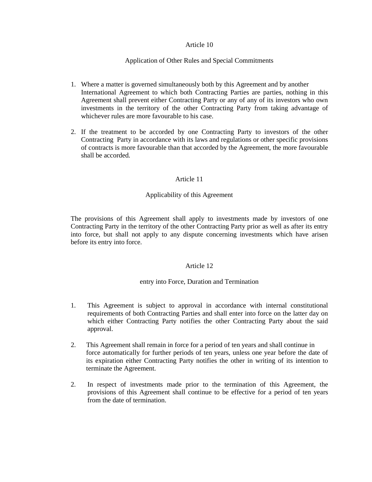## Article 10

# Application of Other Rules and Special Commitments

- 1. Where a matter is governed simultaneously both by this Agreement and by another International Agreement to which both Contracting Parties are parties, nothing in this Agreement shall prevent either Contracting Party or any of any of its investors who own investments in the territory of the other Contracting Party from taking advantage of whichever rules are more favourable to his case.
- 2. If the treatment to be accorded by one Contracting Party to investors of the other Contracting Party in accordance with its laws and regulations or other specific provisions of contracts is more favourable than that accorded by the Agreement, the more favourable shall be accorded.

# Article 11

# Applicability of this Agreement

The provisions of this Agreement shall apply to investments made by investors of one Contracting Party in the territory of the other Contracting Party prior as well as after its entry into force, but shall not apply to any dispute concerning investments which have arisen before its entry into force.

### Article 12

### entry into Force, Duration and Termination

- 1. This Agreement is subject to approval in accordance with internal constitutional requirements of both Contracting Parties and shall enter into force on the latter day on which either Contracting Party notifies the other Contracting Party about the said approval.
- 2. This Agreement shall remain in force for a period of ten years and shall continue in force automatically for further periods of ten years, unless one year before the date of its expiration either Contracting Party notifies the other in writing of its intention to terminate the Agreement.
- 2. In respect of investments made prior to the termination of this Agreement, the provisions of this Agreement shall continue to be effective for a period of ten years from the date of termination.